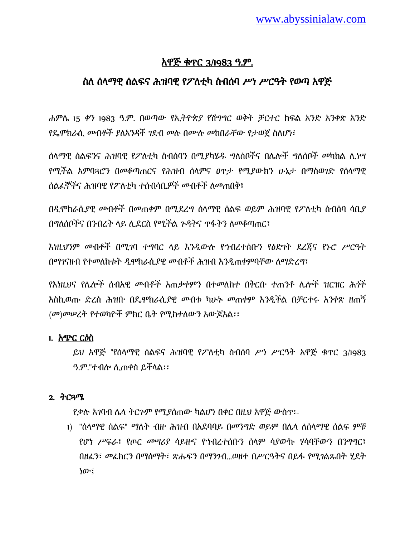# አዋጅ ቁጥር 3/1983 ዓ.ም.

## ስለ ሰላማዊ ሰልፍና ሕዝባዊ የፖለቲካ ስብሰባ *ሥነ ሥርዓት የወጣ* አዋጅ

ሐምላ 15 ቀን 1983 ዓ.ም. በወጣው የኢትዮጵያ የሽግግር ወቅት ቻርተር ክፍሌ አንዴ አንቀጽ አንዴ <u>የዴሞክራሲ መብቶች ያለአንዳች ገደብ መሉ በሙሉ መከበራቸው የታወጀ ስለሆነ፣</u>

ሰላማዊ ሰልፍንና ሕዝባዊ የፖለቲካ ስብሰባን በሚያካሄዱ ግለሰቦችና በሌሎች ግለሰቦች መካከል ሊ*ነ*ሣ የሚችሌ አምባጓሮን በመቆጣጠርና የሕዝብ ሰሊምና ፀጥታ የሚያውክን ሁኔታ በማስወገዴ የሰሊማዊ ሰልፈኞችና ሕዝባዊ የፖለቲካ ተሰብሳቢ*ዎች ሙ*ብቶች ለመጠበቅ፣

በዲሞክራሲያዊ መብቶች በመጠቀም በሚደረግ ሰላማዊ ሰልፍ ወይም ሕዝባዊ የፖለቲካ ስብሰባ ሳቢያ በግለሰቦችና በንብረት ላይ ሊደርስ የሚችል ጉዳትና ጥፋትን ለመቆጣጠር፣

እነዚህንም መብቶች በሚገባ ተግባር ላይ እንዲውሉ የኀብረተሰቡን የዕድገት ደረጃና የኑሮ ሥርዓት በማገናዘብ የተመለከቱት ዲሞክራሲያዊ መብቶች ሕዝብ እንዲጠቀምባቸው ለማድረግ፣

የእነዚህና የሌሎች ሰብአዊ መብቶች አጠቃቀምን በተመለከተ በቅርቡ ተጠንቶ ሌሎች ዝርዝር ሕጎች እስኪወጡ ዴረስ ሕዝቡ በዳሞክራሲያዊ መብቱ ካሁኑ መጠቀም እንዱችሌ በቻርተሩ አንቀጽ ዘጠኝ (መ)መሠረት የተወካዮች ምክር ቤት የሚከተለውን አውጆአል፡፡

### 1. አጭር ርዕስ

ይህ አዋጅ "የሰላማዊ ሰልፍና ሕዝባዊ የፖለቲካ ስብሰባ ሥነ ሥርዓት አዋጅ ቁጥር 3/1983 ዓ.ም."ተብል ሉጠቀስ ይችሊሌ፡፡

### 2. ትርጓሜ

የቃለ አገባብ ላሊ ትርጉም የሚያሰጠው ካሌሆነ በቀር በዚህ አዋጅ ውስጥ፡-

1) "ሰላማዊ ሰልፍ" ማለት ብዙ ሕዝብ በአደባባይ በመንግድ ወይም በሌላ ለሰላማዊ ሰልፍ ምቹ የሆነ ሥፍራ፣ የጦር መሣሪያ ሳይዙና የኀብረተሰቡን ሰሊም ሳያውኩ ሃሳባቸውን በንግግር፣ በዘፈን፣ መፈክርን በማሰማት፣ ጽሑፍን በማንንብ...ወዘተ በሥርዓትና በይፋ የሚገልጹበት ሂደት ነው፤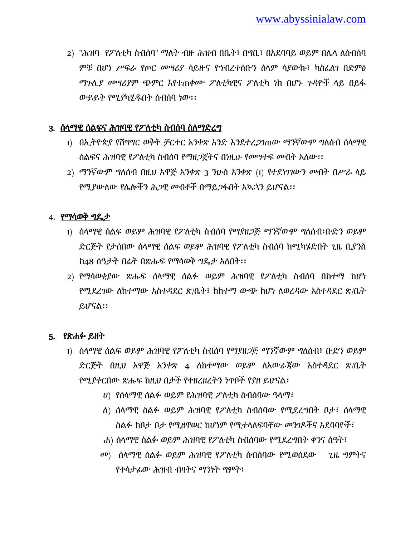2) "ሕዝባ- የፖለቲካ ስብሰባ" ማለት ብዙ ሕዝብ በቤት፣ በግቢ፣ በአደባባይ ወይም በሌላ ለስብሰባ ምቹ በሆነ ሥፍራ የጦር መሣሪያ ሳይዙና የኀብረተሰቡን ሰላም ሳያውኩ፣ ካስፈለን በድምፅ ማጉሊያ መሣሪያም ጭምር እየተጠቀሙ ፖለቲካዊና ፖለቲካ ነክ በሆኑ ጉዳዮች ላይ በይፋ ውይይት የሚያካሂደበት ስብሰባ ነው፡፡

### 3. ሰላማዊ ሰልፍና ሕዝባዊ የፖለቲካ ስብሰባ ስለማድረግ

- 1) በኢትዮጵያ የሽግግር ወቅት *ቻርተር አንቀ*ጽ አንድ እንደተረ*ጋገ*ጠው ማንኛውም ግለሰብ ሰላማዊ ሰልፍና ሕዝባዊ የፖለቲካ ስብሰባ የማዘጋጀትና በነዚሁ የመሣተፍ መብት አለው፡፡
- 2) ማንኛውም ግለሰብ በዚህ አዋጅ አንቀጽ 3 ንዑስ አንቀጽ (1) የተደነገገውን መብት በሥራ ላይ የሚያውሇው የላልችን ሕጋዊ መብቶች በማይጋፋበት አኳኋን ይሆናሌ፡፡

### 4. የማሳወቅ ግዳታ

- <u>ነ) ሰላማዊ ሰልፍ ወይም ሕዝባዊ የፖለቲካ ስብሰባ የማያዘጋጅ ማንኛውም ግለሰብ፣ቡድን ወይም</u> ድርጅት የታሰበው ሰላማዊ ሰልፍ ወይም ሕዝባዊ የፖለቲካ ስብሰባ ከሚካሄድበት ጊዜ ቢያንስ ከ48 ሰዓታት በፊት በጽሑፍ የማሳወቅ ግዴታ አለበት፡፡
- 2) የማሳወቂያው ጽሑፍ ሰላማዊ ሰልፉ ወይም ሕዝባዊ የፖለቲካ ስብሰባ በከተማ ከሆነ የሚደረገው ለከተማው አስተዳደር ጽ/ቤት፣ ከከተማ ውጭ ከሆነ ለወረዳው አስተዳደር ጽ/ቤት ይሆናሌ፡፡

### 5. የጽሐፉ ይዘት

- 1) ሰላማዊ ሰልፍ ወይም ሕዝባዊ የፖለቲካ ስብሰባ የማያዘጋጅ ማንኛውም ግለሰብ፣ ቡድን ወይም ድርጅት በዚህ አዋጅ አንቀጽ 4 ለከተማው ወይም ለአውራጃው አስተዳደር ጽ/ቤት የሚያቀርበው ጽሑፍ ከዚህ በታች የተዘረዘረትን ነጥቦች የያዘ ይሆናሌ፣
	- ሀ) የሰላማዊ ሰልፉ ወይም የሕዝባዊ ፖለቲካ ስብሰባው ዓላማ፣
	- ለ) ሰላማዊ ስልፉ ወይም ሕዝባዊ የፖለቲካ ስብሰባው የሚደረግበት ቦታ፣ ሰላማዊ ስልፉ ከቦታ ቦታ የሚዘዋወር ከሆነም የሚተላለፍባቸው መንገዶችና አደባባዮች፣
	- ሐ) ሰላማዊ ስልፉ ወይም ሕዝባዊ የፖለቲካ ስብሰባው የሚደረግበት ቀንና ሰዓት፣
	- መ) ሰላማዊ ሰልፉ ወይም ሕዝባዊ የፖለቲካ ስብሰባው የሚወሰደው ጊዜ ግምትና የተሳታፊው ሕዝብ ብዛትና ማንነት ግምት፣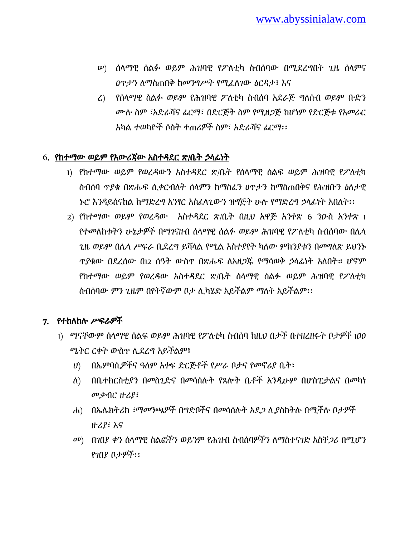- $\ket{\nu}$  ሰላማዊ ሰልፉ ወይም ሕዝባዊ የፖለቲካ ስብሰባው በሚደረግበት ጊዜ ሰላምና *ፀ*ጥታን ለማስጠበቅ ከመንግሥት የሚፈለገው ዕርዳታ፣ እና
- ረ) የሰላማዊ ስልፉ ወይም የሕዝባዊ ፖለቲካ ስብሰባ አደራጅ ግለሰብ ወይም ቡድን ሙለ ስም ፣አዴራሻና ፊርማ፣ በዴርጅት ስም የሚዘጋጅ ከሆነም የዴርጅቱ የአመራር አካሌ ተወካዮች ሶስት ተጠሪዎች ስም፣ አዴራሻና ፊርማ፡፡

### 6. የከተማው ወይም የአውሪጀው አስተዳደር ጽ/ቤት ኃላፊነት

- 1) የከተማው ወይም የወረዳውን አስተዳደር ጽ/ቤት የሰላማዊ ሰልፍ ወይም ሕዝባዊ የፖለቲካ ስብሰባ ጥያቄ በጽሑፍ ሲቀርብለት ሰላምን ከማስፈን ፀጥታን ከማስጠበቅና የሕዝቡን ዕለታዊ ኑሮ እንዳይሰናከል ከማድረግ አንፃር አስፈላጊውን ዝግጅት ሁሉ የማድረግ ኃላፊነት አበለት፡፡
- 2) የከተማው ወይም የወረዳው አስተዳደር ጽ/ቤት በዚህ አዋጅ አንቀጽ 6 ንዑስ አንቀጽ 1 የተመለከቱትን ሁኔታዎች በማገናዘብ ሰላማዊ ሰልፉ ወይም ሕዝባዊ የፖለቲካ ስብሰባው በሌላ ጊዜ ወይም በሌላ ሥፍራ ቢደረግ ይሻላል የሚል አስተያየት ካለው ምክንያቱን በመግለጽ ይህንኑ ጥያቄው በደረሰው በነ2 ሰዓት ውስጥ በጽሑፍ ለአዘጋጁ የማሳወቅ ኃላፊነት አለበት። ሆኖም የከተማው ወይም የወረዳው አስተዳደር ጽ/ቤት ሰላማዊ ሰልፉ ወይም ሕዝባዊ የፖለቲካ ስብሰባው ምን ጊዜም በየትኛውም ቦታ ሊካሄድ አይችልም ማለት አይችልም፡፡

## 7. የተከለከሉ ሥፍራዎች

- 1) ማናቸውም ሰላማዊ ሰልፍ ወይም ሕዝባዊ የፖለቲካ ስብሰባ ከዚህ በታች በተዘረዘሩት ቦታዎች 100 ሜትር ርቀት ውስጥ ሊደረግ አይችልም፣
	- ሀ) በኤምባሲዎችና ዓለም አቀፍ ድርጅቶች የሥራ ቦታና የመኖሪያ ቤት፣
	- ሇ) በቤተክርስቲያን በመስጊዴና በመሳሰለት የጸልት ቤቶች እንዱሁም በሆስፒታሌና በመካነ መቃብር ዙሪያ፣
	- ሐ) በኤሌክትሪክ ፣ማመንጫዎች በግድቦችና በመሳሰሉት አደጋ ሊያስከትሉ በሚችሉ ቦታዎች ዙሪያ፣ እና
	- መ) በገበያ ቀን ሰላማዊ ስልፎችን ወይንም የሕዝብ ስብሰባዎችን ለማስተናገድ አስቸ*ጋ*ሪ በሚሆን የገበያ ቦታዎች፡፡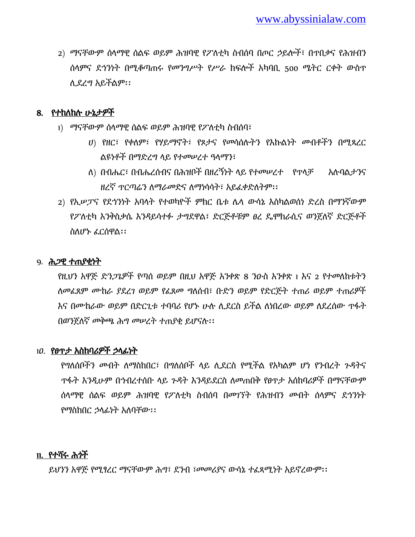2) ማናቸውም ሰላማዊ ሰልፍ ወይም ሕዝባዊ የፖለቲካ ስብሰባ በጦር ኃይሎች፣ በጥበቃና የሕዝብን ሰሊምና ዯኀንነት በሚቆጣጠሩ የመንግሥት የሥራ ክፍልች አካባቢ 500 ሜትር ርቀት ውስጥ ለ ደረግ አይችልም፡፡

## 8. የተከለከሉ ሁኔታዎች

- 1) ማናቸውም ሰላማዊ ሰልፍ ወይም ሕዝባዊ የፖለቲካ ስብሰባ፣
	- ሀ) የዘር፣ የቀሇም፣ የሃይማኖት፣ የጾታና የመሳሰለትን የእኩሌነት መብቶችን በሚጻረር ሌዩነቶች በማዴረግ ሊይ የተመሠረተ ዓሊማን፣
	- ሇ) በብሔር፣ በብሔረሰብና በሕዝቦች በዘረኝነት ሊይ የተመሠረተ የጥሊቻ አለባሌታንና ዘረኛ ጥርጣሬን ለማራመድና ለማነሳሳት፣ አይፈቀድለትም፡፡
- 2) የኢሥፓና የደኅንነት አባላት የተወካዮች ምክር ቤቱ ሌላ ውሳኔ እስካልወሰነ ድረስ በማንኛውም የፖለቲካ እንቅስቃሴ እንዳይሳተፉ ታግደዋል፣ ድርጅቶቹም ፀረ ዴሞክራሲና ወንጀለኛ ድርጅቶች ስሇሆኑ ፈርሰዋሌ፡፡

### 9. ሕጋዊ ተጠያቂነት

የዚህን አዋጅ ድንጋጌዎች የጣሰ ወይም በዚህ አዋጅ አንቀጽ 8 ንዑስ አንቀጽ 1 እና 2 የተመለከቱትን <u>ለመፈጸም ሙከራ ያደረገ ወይም የፈጸመ ግለሰብ፣ ቡድን ወይም የድርጅት ተጠሪ ወይም ተጠሪዎች</u> እና በሙከራው ወይም በድርጊቱ ተባባሪ የሆኑ ሁሉ ሲደርስ ይችል ለነበረው ወይም ለደረሰው ጥፋት በወንጀለኛ መቅጫ ሕግ መሠረት ተጠያቂ ይሆናሉ፡፡

### 1ዏ. የፀጥታ አስከባሪዎች ኃሊፊነት

የግለሰቦችን መብት ለማስከበር፣ በግለሰቦች ላይ ሊደርስ የሚችል የአካልም ሆነ የንብረት ጉዳትና ጥፋት እንዲሁም በኀብረተሰቡ ላይ ጉዳት እንዳይደርስ ለመጠበቅ የፀጥታ አሰከባሪዎች በማናቸውም ሰላማዊ ሰልፍ ወይም ሕዝባዊ የፖለቲካ ስብሰባ በመንኘት የሕዝብን መብት ሰላምና ደኅንነት የማስከበር ኃላፊነት አለባቸው፡፡

### 11. የተሻሩ ሕጎች

ይህንን አዋጅ የሚፃረር ማናቸውም ሕግ፣ ደንብ ፣መመሪያና ውሳኔ ተፈጻሚነት አይኖረውም፡፡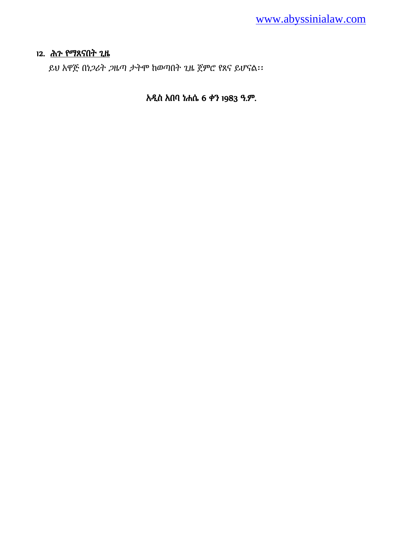### 12. ሕጉ የማጸናበት ጊዜ

ይህ አዋጅ በነጋሪት ጋዜጣ ታትሞ ከወጣበት ጊዜ ጀምሮ የጸና ይሆናሌ፡፡

# አዱስ አበባ ነሐሴ 6 ቀን 1983 ዓ.ም.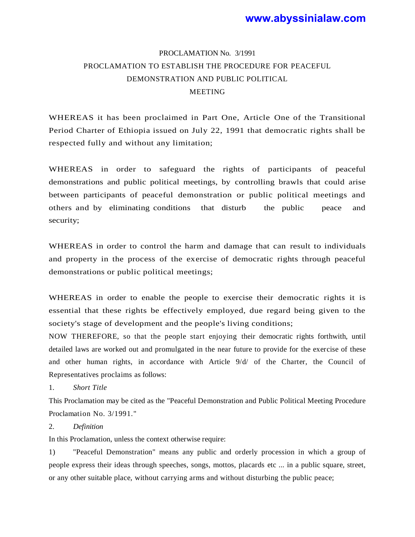### **www.abyssinialaw.com**

# PROCLAMATION No. 3/1991 PROCLAMATION TO ESTABLISH THE PROCEDURE FOR PEACEFUL DEMONSTRATION AND PUBLIC POLITICAL **MEETING**

WHEREAS it has been proclaimed in Part One, Article One of the Transitional Period Charter of Ethiopia issued on July 22, 1991 that democratic rights shall be respected fully and without any limitation;

WHEREAS in order to safeguard the rights of participants of peaceful demonstrations and public political meetings, by controlling brawls that could arise between participants of peaceful demonstration or public political meetings and others and by eliminating conditions that disturb the public peace and security;

WHEREAS in order to control the harm and damage that can result to individuals and property in the process of the exercise of democratic rights through peaceful demonstrations or public political meetings;

WHEREAS in order to enable the people to exercise their democratic rights it is essential that these rights be effectively employed, due regard being given to the society's stage of development and the people's living conditions;

NOW THEREFORE, so that the people start enjoying their democratic rights forthwith, until detailed laws are worked out and promulgated in the near future to provide for the exercise of these and other human rights, in accordance with Article 9/d/ of the Charter, the Council of Representatives proclaims as follows:

1. *Short Title*

This Proclamation may be cited as the "Peaceful Demonstration and Public Political Meeting Procedure Proclamation No. 3/1991."

#### 2. *Definition*

In this Proclamation, unless the context otherwise require:

1) ''Peaceful Demonstration" means any public and orderly procession in which a group of people express their ideas through speeches, songs, mottos, placards etc ... in a public square, street, or any other suitable place, without carrying arms and without disturbing the public peace;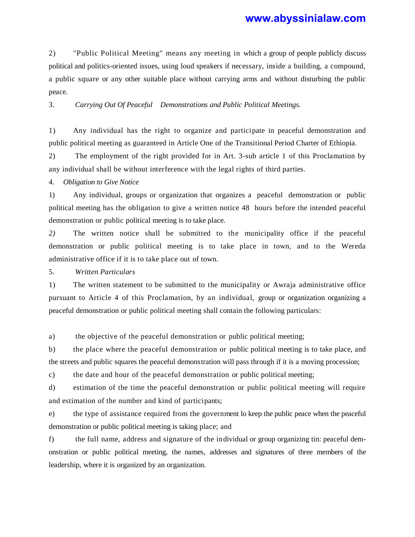### **www.abyssinialaw.com**

2) "Public Political Meeting" means any meeting in which a group of people publicly discuss political and politics-oriented issues, using loud speakers if necessary, inside a building, a compound, a public square or any other suitable place without carrying arms and without disturbing the public peace.

3. *Carrying Out Of Peaceful Demonstrations and Public Political Meetings.*

1) Any individual has the right to organize and participate in peaceful demonstration and public political meeting as guaranteed in Article One of the Transitional Period Charter of Ethiopia.

2) The employment of the right provided for in Art. 3-sub article 1 of this Proclamation by any individual shall be without interference with the legal rights of third parties.

4. *Obligation to Give Notice*

1) Any individual, groups or organization that organizes a peaceful demonstration or public political meeting has the obligation to give a written notice 48 hours before the intended peaceful demonstration or public political meeting is to take place.

*2)* The written notice shall be submitted to the municipality office if the peaceful demonstration or public political meeting is to take place in town, and to the Wereda administrative office if it is to take place out of town.

5. *Written Particulars*

1) The written statement to be submitted to the municipality or Awraja administrative office pursuant to Article 4 of this Proclamation, by an individual, group or organization organizing a peaceful demonstration or public political meeting shall contain the following particulars:

a) the objective of the peaceful demonstration or public political meeting;

b) the place where the peaceful demonstration or public political meeting is to take place, and the streets and public squares the peaceful demonstration will pass through if it is a moving procession;

c) the date and hour of the peaceful demonstration or public political meeting;

d) estimation of the time the peaceful demonstration or public political meeting will require and estimation of the number and kind of participants;

e) the type of assistance required from the government lo keep the public peace when the peaceful demonstration or public political meeting is taking place; and

f) the full name, address and signature of the individual or group organizing tin: peaceful demonstration or public political meeting, the names, addresses and signatures of three members of the leadership, where it is organized by an organization.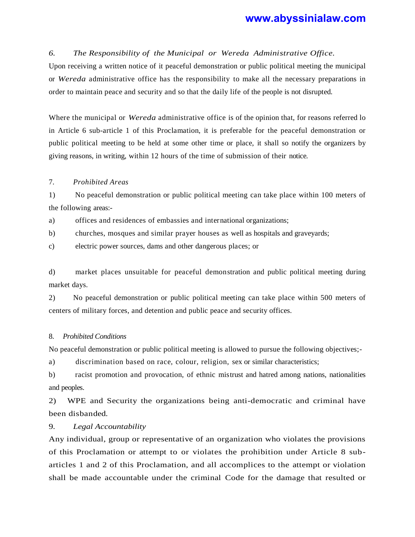#### *6. The Responsibility of the Municipal or Wereda Administrative Office.*

Upon receiving a written notice of it peaceful demonstration or public political meeting the municipal or *Wereda* administrative office has the responsibility to make all the necessary preparations in order to maintain peace and security and so that the daily life of the people is not disrupted.

Where the municipal or *Wereda* administrative office is of the opinion that, for reasons referred lo in Article 6 sub-article 1 of this Proclamation, it is preferable for the peaceful demonstration or public political meeting to be held at some other time or place, it shall so notify the organizers by giving reasons, in writing, within 12 hours of the time of submission of their notice.

#### 7. *Prohibited Areas*

1) No peaceful demonstration or public political meeting can take place within 100 meters of the following areas:-

a) offices and residences of embassies and international organizations;

b) churches, mosques and similar prayer houses as well as hospitals and graveyards;

c) electric power sources, dams and other dangerous places; or

d) market places unsuitable for peaceful demonstration and public political meeting during market days.

2) No peaceful demonstration or public political meeting can take place within 500 meters of centers of military forces, and detention and public peace and security offices.

#### 8. *Prohibited Conditions*

No peaceful demonstration or public political meeting is allowed to pursue the following objectives;-

a) discrimination based on race, colour, religion, sex or similar characteristics;

b) racist promotion and provocation, of ethnic mistrust and hatred among nations, nationalities and peoples.

2) WPE and Security the organizations being anti-democratic and criminal have been disbanded.

#### 9. *Legal Accountability*

Any individual, group or representative of an organization who violates the provisions of this Proclamation or attempt to or violates the prohibition under Article 8 subarticles 1 and 2 of this Proclamation, and all accomplices to the attempt or violation shall be made accountable under the criminal Code for the damage that resulted or